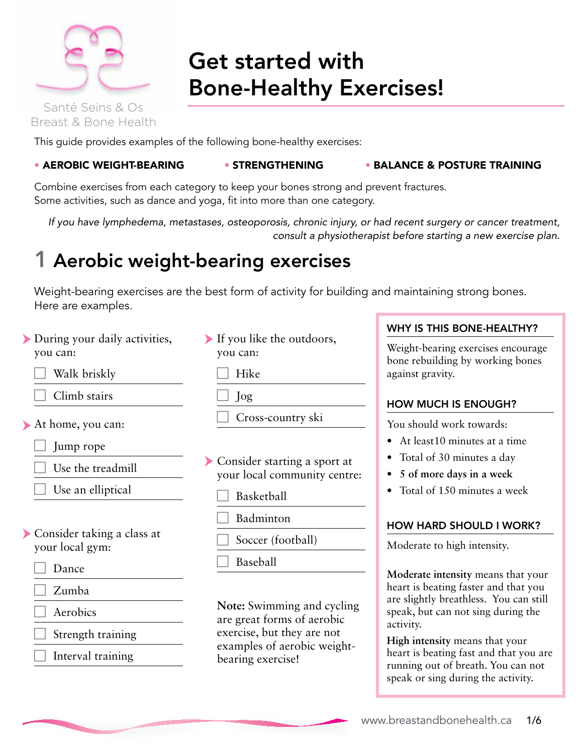

# Get started with Bone-Healthy Exercises!

Santé Seins & Os Breast & Bone Health

This guide provides examples of the following bone-healthy exercises:

## • Aerobic weight-bearing • Strengthening • Balance & posture training

Combine exercises from each category to keep your bones strong and prevent fractures. Some activities, such as dance and yoga, fit into more than one category.

*If you have lymphedema, metastases, osteoporosis, chronic injury, or had recent surgery or cancer treatment, consult a physiotherapist before starting a new exercise plan.*

# 1 Aerobic weight-bearing exercises

Weight-bearing exercises are the best form of activity for building and maintaining strong bones. Here are examples.

- During your daily activities, you can:
	- Walk briskly
		- Climb stairs
- At home, you can:
	- Jump rope
	- Use the treadmill
	- Use an elliptical
- Consider taking a class at your local gym:
	- Dance
	- Zumba
	- **Aerobics**
	- Strength training
	- Interval training

If you like the outdoors, you can:

Hike

c Jog

Cross-country ski

Consider starting a sport at your local community centre:

- Basketball
- **Badminton**
- Soccer (football)

**Baseball** 

**Note:** Swimming and cycling are great forms of aerobic exercise, but they are not examples of aerobic weightbearing exercise!

## WHY IS THIS BONE-HEALTHY?

Weight-bearing exercises encourage bone rebuilding by working bones against gravity.

## How much is enough?

You should work towards:

- At least 10 minutes at a time
- Total of 30 minutes a day
- **• 5 of more days in a week**
- Total of 150 minutes a week

## How hard should I work?

Moderate to high intensity.

**Moderate intensity** means that your heart is beating faster and that you are slightly breathless. You can still speak, but can not sing during the activity.

**High intensity** means that your heart is beating fast and that you are running out of breath. You can not speak or sing during the activity.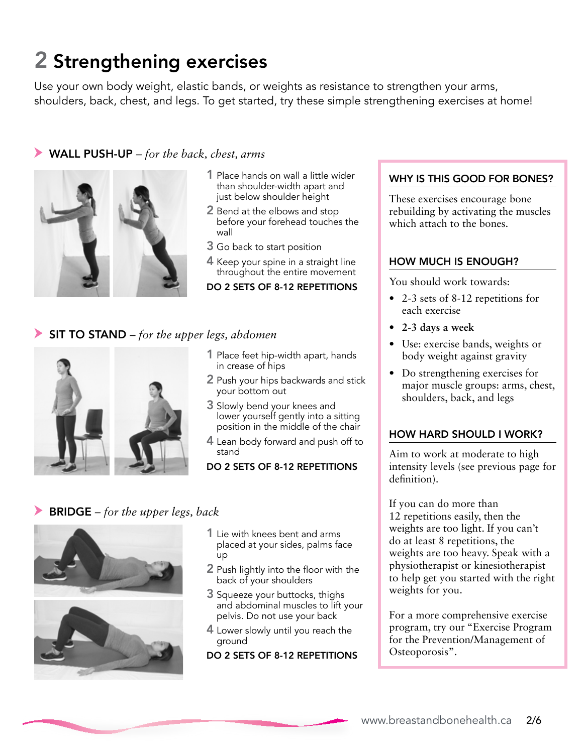# 2 Strengthening exercises

Use your own body weight, elastic bands, or weights as resistance to strengthen your arms, shoulders, back, chest, and legs. To get started, try these simple strengthening exercises at home!

## Wall Push-up *– for the back, chest, arms*



- 1 Place hands on wall a little wider than shoulder-width apart and just below shoulder height
- 2 Bend at the elbows and stop before your forehead touches the wall
- **3** Go back to start position
- 4 Keep your spine in a straight line throughout the entire movement

DO 2 SETS OF 8-12 REPETITIONS

### Sit to Stand *– for the upper legs, abdomen*



- 1 Place feet hip-width apart, hands in crease of hips
- 2 Push your hips backwards and stick your bottom out
- 3 Slowly bend your knees and lower yourself gently into a sitting position in the middle of the chair
- 4 Lean body forward and push off to stand

#### DO 2 SETS OF 8-12 REPETITIONS

## **BRIDGE** – for the upper legs, back





- 1 Lie with knees bent and arms placed at your sides, palms face up
- 2 Push lightly into the floor with the back of your shoulders
- 3 Squeeze your buttocks, thighs and abdominal muscles to lift your pelvis. Do not use your back
- 4 Lower slowly until you reach the ground

DO 2 SETS OF 8-12 REPETITIONS

### WHY IS THIS GOOD FOR BONES?

These exercises encourage bone rebuilding by activating the muscles which attach to the bones.

#### How much is enough?

You should work towards:

- 2-3 sets of 8-12 repetitions for each exercise
- **• 2-3 days a week**
- Use: exercise bands, weights or body weight against gravity
- Do strengthening exercises for major muscle groups: arms, chest, shoulders, back, and legs

#### How hard should I work?

Aim to work at moderate to high intensity levels (see previous page for definition).

If you can do more than 12 repetitions easily, then the weights are too light. If you can't do at least 8 repetitions, the weights are too heavy. Speak with a physiotherapist or kinesiotherapist to help get you started with the right weights for you.

For a more comprehensive exercise program, try our "Exercise Program for the Prevention/Management of Osteoporosis".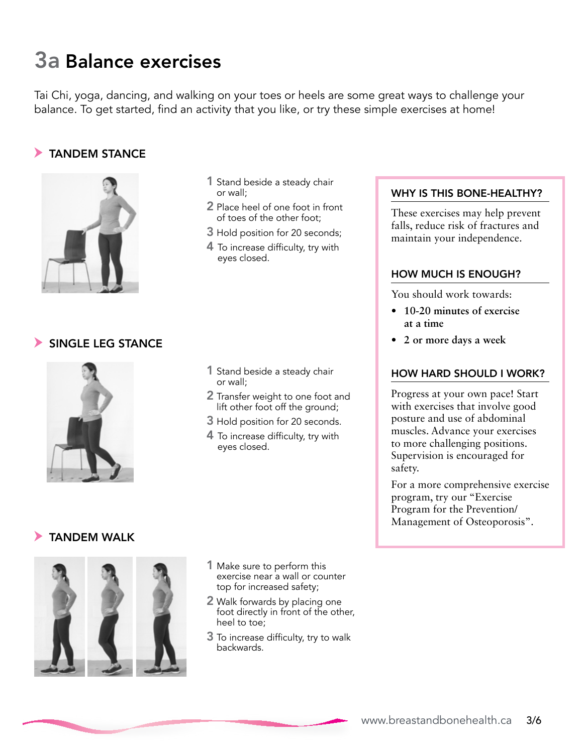# 3a Balance exercises

Tai Chi, yoga, dancing, and walking on your toes or heels are some great ways to challenge your balance. To get started, find an activity that you like, or try these simple exercises at home!

# Tandem Stance



Single Leg Stance



- 1 Stand beside a steady chair or wall;
- 2 Place heel of one foot in front of toes of the other foot;
- 3 Hold position for 20 seconds;
- 4 To increase difficulty, try with eyes closed.

- 1 Stand beside a steady chair or wall;
- 2 Transfer weight to one foot and lift other foot off the ground;
- 3 Hold position for 20 seconds.
- 4 To increase difficulty, try with eyes closed.

### WHY IS THIS BONE-HEALTHY?

These exercises may help prevent falls, reduce risk of fractures and maintain your independence.

### How much is enough?

You should work towards:

- **• 10-20 minutes of exercise at a time**
- **• 2 or more days a week**

### How hard should I work?

Progress at your own pace! Start with exercises that involve good posture and use of abdominal muscles. Advance your exercises to more challenging positions. Supervision is encouraged for safety.

For a more comprehensive exercise program, try our "Exercise Program for the Prevention/ Management of Osteoporosis".

# Tandem Walk



- 1 Make sure to perform this exercise near a wall or counter top for increased safety;
- 2 Walk forwards by placing one foot directly in front of the other, heel to toe;
- 3 To increase difficulty, try to walk backwards.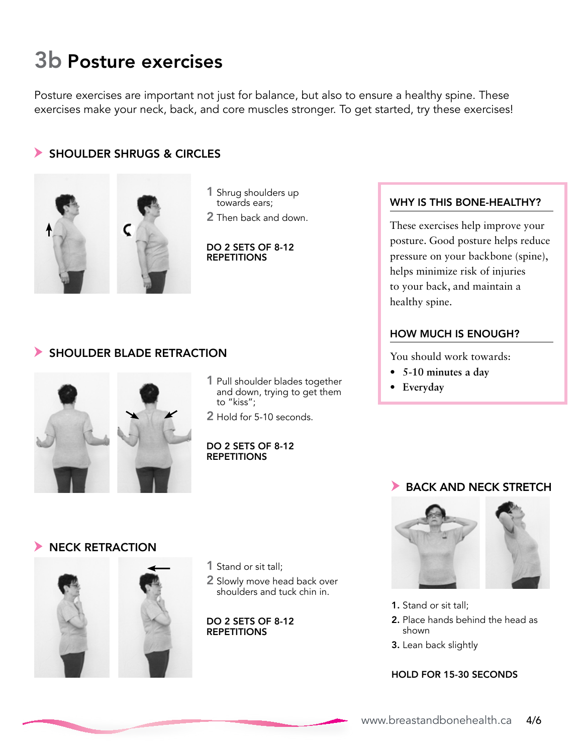# 3b Posture exercises

Posture exercises are important not just for balance, but also to ensure a healthy spine. These exercises make your neck, back, and core muscles stronger. To get started, try these exercises!

## Shoulder Shrugs & Circles



1 Shrug shoulders up towards ears;

2 Then back and down.

DO 2 SETS OF 8-12 **REPETITIONS** 

## Shoulder Blade Retraction



- 1 Pull shoulder blades together and down, trying to get them to "kiss";
- 2 Hold for 5-10 seconds.

#### DO 2 SETS OF 8-12 **REPETITIONS**

## WHY IS THIS BONE-HEALTHY?

These exercises help improve your posture. Good posture helps reduce pressure on your backbone (spine), helps minimize risk of injuries to your back, and maintain a healthy spine.

### How much is enough?

You should work towards:

- **• 5-10 minutes a day**
- **• Everyday**

## Neck Retraction





- 1 Stand or sit tall;
- 2 Slowly move head back over shoulders and tuck chin in.

DO 2 SETS OF 8-12 **REPETITIONS** 



- 1. Stand or sit tall;
- 2. Place hands behind the head as shown
- 3. Lean back slightly

### HOLD FOR 15-30 SECONDS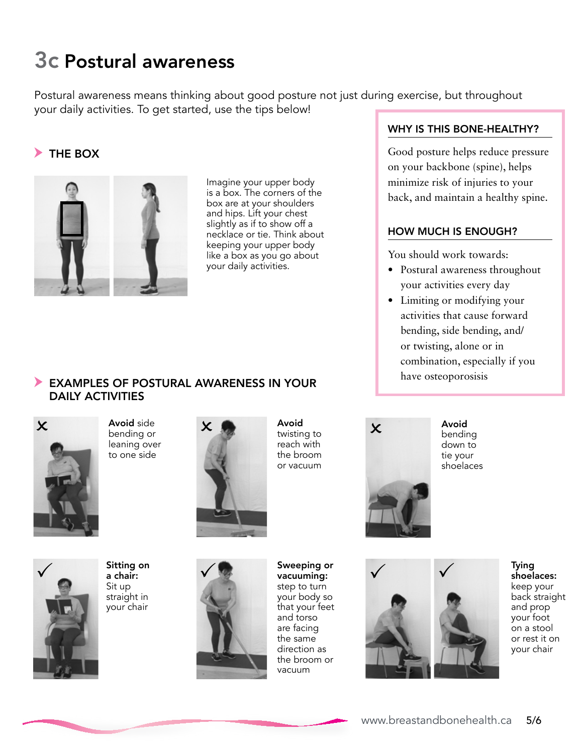# 3c Postural awareness

Postural awareness means thinking about good posture not just during exercise, but throughout your daily activities. To get started, use the tips below!

## THE BOX



Imagine your upper body is a box. The corners of the box are at your shoulders and hips. Lift your chest slightly as if to show off a necklace or tie. Think about keeping your upper body like a box as you go about your daily activities.

## WHY IS THIS BONE-HEALTHY?

Good posture helps reduce pressure on your backbone (spine), helps minimize risk of injuries to your back, and maintain a healthy spine.

### How much is enough?

You should work towards:

- Postural awareness throughout your activities every day
- Limiting or modifying your activities that cause forward bending, side bending, and/ or twisting, alone or in combination, especially if you have osteoporosisis

## Examples of postural awareness in your DAILY ACTIVITIES



Avoid side bending or leaning over to one side



Avoid twisting to reach with the broom or vacuum



Sitting on a chair: Sit up straight in your chair



vacuuming: step to turn your body so that your feet and torso are facing the same direction as the broom or vacuum

Sweeping or



Avoid bending down to tie your shoelaces



Tying shoelaces: keep your back straight and prop your foot on a stool or rest it on your chair